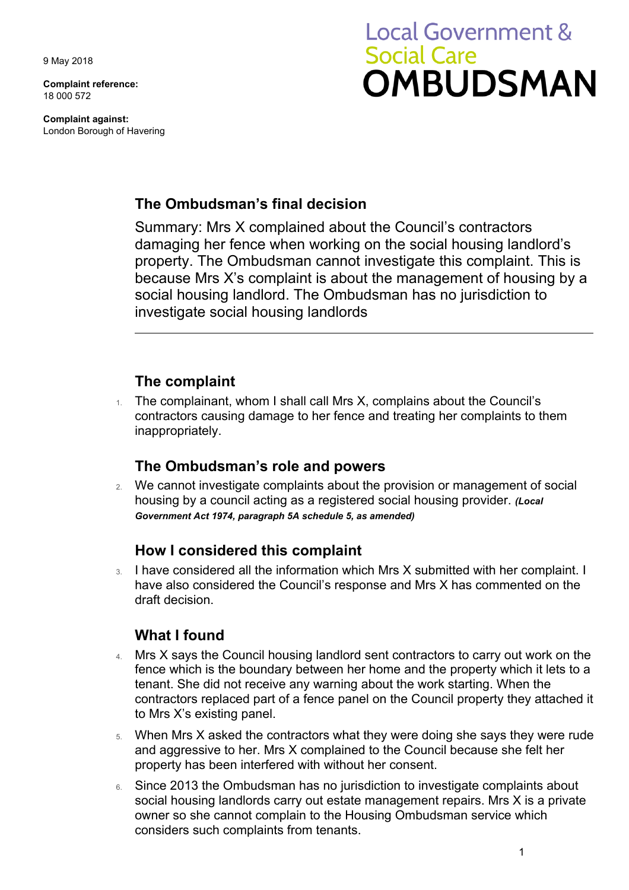9 May 2018

**Complaint reference:**  18 000 572

**Complaint against:**  London Borough of Havering

# **Local Government & Social Care OMBUDSMAN**

#### **The Ombudsman's final decision**

Summary: Mrs X complained about the Council's contractors damaging her fence when working on the social housing landlord's property. The Ombudsman cannot investigate this complaint. This is because Mrs X's complaint is about the management of housing by a social housing landlord. The Ombudsman has no jurisdiction to investigate social housing landlords

### **The complaint**

1. The complainant, whom I shall call Mrs X, complains about the Council's contractors causing damage to her fence and treating her complaints to them inappropriately.

#### **The Ombudsman's role and powers**

2. We cannot investigate complaints about the provision or management of social housing by a council acting as a registered social housing provider. *(Local Government Act 1974, paragraph 5A schedule 5, as amended)* 

#### **How I considered this complaint**

3. I have considered all the information which Mrs X submitted with her complaint. I have also considered the Council's response and Mrs X has commented on the draft decision.

## **What I found**

- 4. Mrs X says the Council housing landlord sent contractors to carry out work on the fence which is the boundary between her home and the property which it lets to a tenant. She did not receive any warning about the work starting. When the contractors replaced part of a fence panel on the Council property they attached it to Mrs X's existing panel.
- and aggressive to her. Mrs X complained to the Council because she felt her 5. When Mrs X asked the contractors what they were doing she says they were rude property has been interfered with without her consent.
- 6. Since 2013 the Ombudsman has no jurisdiction to investigate complaints about social housing landlords carry out estate management repairs. Mrs X is a private owner so she cannot complain to the Housing Ombudsman service which considers such complaints from tenants.